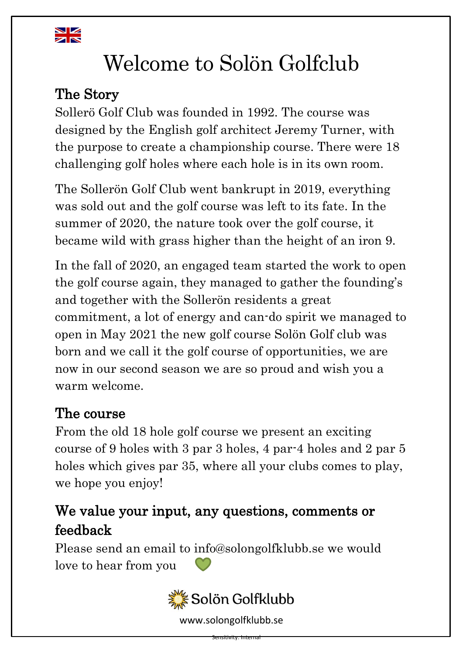

# Welcome to Solön Golfclub

# The Story

Sollerö Golf Club was founded in 1992. The course was designed by the English golf architect Jeremy Turner, with the purpose to create a championship course. There were 18 challenging golf holes where each hole is in its own room.

The Sollerön Golf Club went bankrupt in 2019, everything was sold out and the golf course was left to its fate. In the summer of 2020, the nature took over the golf course, it became wild with grass higher than the height of an iron 9.

In the fall of 2020, an engaged team started the work to open the golf course again, they managed to gather the founding's and together with the Sollerön residents a great commitment, a lot of energy and can-do spirit we managed to open in May 2021 the new golf course Solön Golf club was born and we call it the golf course of opportunities, we are now in our second season we are so proud and wish you a warm welcome.

# The course

From the old 18 hole golf course we present an exciting course of 9 holes with 3 par 3 holes, 4 par-4 holes and 2 par 5 holes which gives par 35, where all your clubs comes to play, we hope you enjoy!

# We value your input, any questions, comments or feedback

Please send an email to [info@solongolfklubb.se](mailto:info@solongolfklubb.se) we would love to hear from you



www.solongolfklubb.se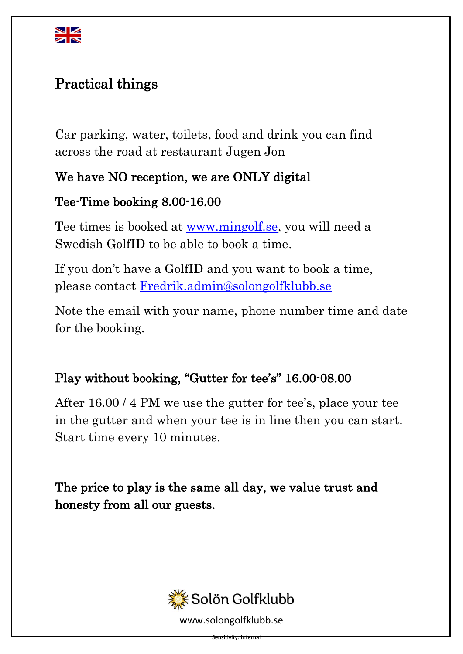

# Practical things

Car parking, water, toilets, food and drink you can find across the road at restaurant Jugen Jon

#### We have NO reception, we are ONLY digital

#### Tee-Time booking 8.00-16.00

Tee times is booked at [www.mingolf.se,](http://www.mingolf.se/) you will need a Swedish GolfID to be able to book a time.

If you don't have a GolfID and you want to book a time, please contact [Fredrik.admin@solongolfklubb.se](mailto:Fredrik.admin@solongolfklubb.se)

Note the email with your name, phone number time and date for the booking.

#### Play without booking, "Gutter for tee's" 16.00-08.00

After 16.00 / 4 PM we use the gutter for tee's, place your tee in the gutter and when your tee is in line then you can start. Start time every 10 minutes.

The price to play is the same all day, we value trust and honesty from all our guests.



www.solongolfklubb.se